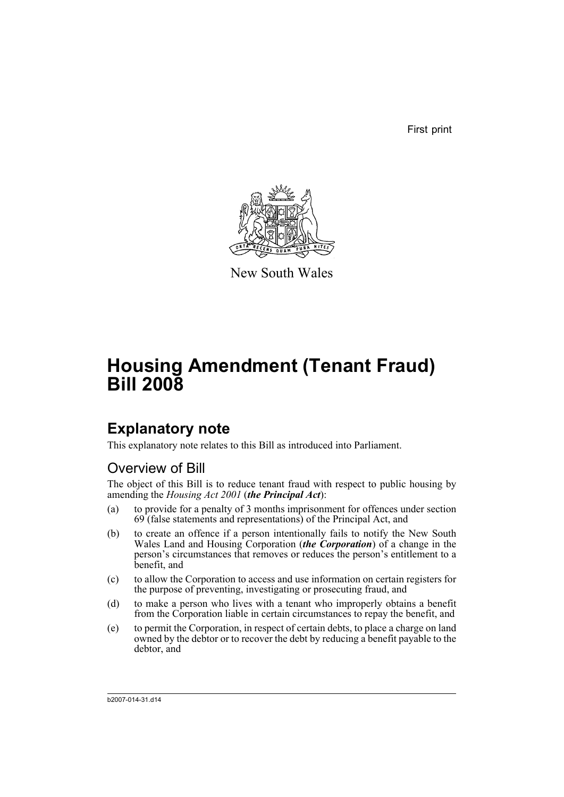First print



New South Wales

# **Housing Amendment (Tenant Fraud) Bill 2008**

## **Explanatory note**

This explanatory note relates to this Bill as introduced into Parliament.

## Overview of Bill

The object of this Bill is to reduce tenant fraud with respect to public housing by amending the *Housing Act 2001* (*the Principal Act*):

- (a) to provide for a penalty of 3 months imprisonment for offences under section 69 (false statements and representations) of the Principal Act, and
- (b) to create an offence if a person intentionally fails to notify the New South Wales Land and Housing Corporation (*the Corporation*) of a change in the person's circumstances that removes or reduces the person's entitlement to a benefit, and
- (c) to allow the Corporation to access and use information on certain registers for the purpose of preventing, investigating or prosecuting fraud, and
- (d) to make a person who lives with a tenant who improperly obtains a benefit from the Corporation liable in certain circumstances to repay the benefit, and
- (e) to permit the Corporation, in respect of certain debts, to place a charge on land owned by the debtor or to recover the debt by reducing a benefit payable to the debtor, and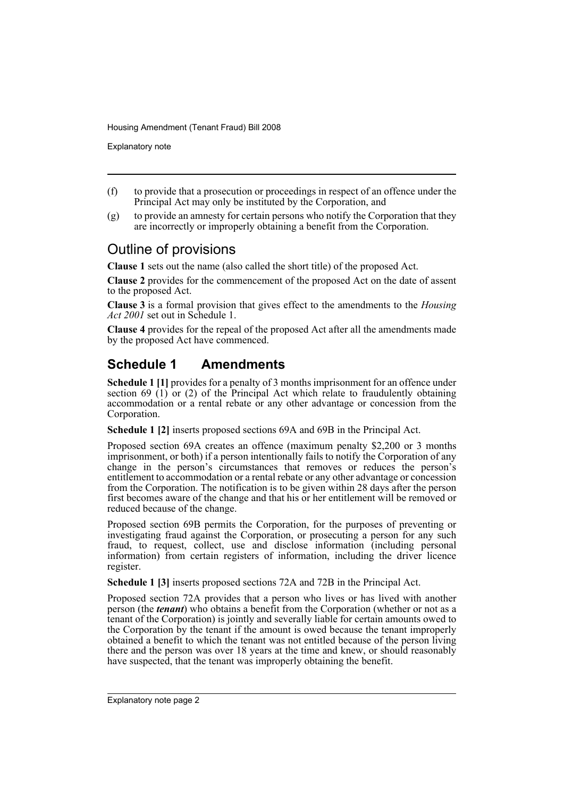Explanatory note

- (f) to provide that a prosecution or proceedings in respect of an offence under the Principal Act may only be instituted by the Corporation, and
- (g) to provide an amnesty for certain persons who notify the Corporation that they are incorrectly or improperly obtaining a benefit from the Corporation.

## Outline of provisions

**Clause 1** sets out the name (also called the short title) of the proposed Act.

**Clause 2** provides for the commencement of the proposed Act on the date of assent to the proposed Act.

**Clause 3** is a formal provision that gives effect to the amendments to the *Housing Act 2001* set out in Schedule 1.

**Clause 4** provides for the repeal of the proposed Act after all the amendments made by the proposed Act have commenced.

## **Schedule 1 Amendments**

**Schedule 1 [1]** provides for a penalty of 3 months imprisonment for an offence under section 69 (1) or (2) of the Principal Act which relate to fraudulently obtaining accommodation or a rental rebate or any other advantage or concession from the Corporation.

**Schedule 1 [2]** inserts proposed sections 69A and 69B in the Principal Act.

Proposed section 69A creates an offence (maximum penalty \$2,200 or 3 months imprisonment, or both) if a person intentionally fails to notify the Corporation of any change in the person's circumstances that removes or reduces the person's entitlement to accommodation or a rental rebate or any other advantage or concession from the Corporation. The notification is to be given within 28 days after the person first becomes aware of the change and that his or her entitlement will be removed or reduced because of the change.

Proposed section 69B permits the Corporation, for the purposes of preventing or investigating fraud against the Corporation, or prosecuting a person for any such fraud, to request, collect, use and disclose information (including personal information) from certain registers of information, including the driver licence register.

**Schedule 1 [3]** inserts proposed sections 72A and 72B in the Principal Act.

Proposed section 72A provides that a person who lives or has lived with another person (the *tenant*) who obtains a benefit from the Corporation (whether or not as a tenant of the Corporation) is jointly and severally liable for certain amounts owed to the Corporation by the tenant if the amount is owed because the tenant improperly obtained a benefit to which the tenant was not entitled because of the person living there and the person was over 18 years at the time and knew, or should reasonably have suspected, that the tenant was improperly obtaining the benefit.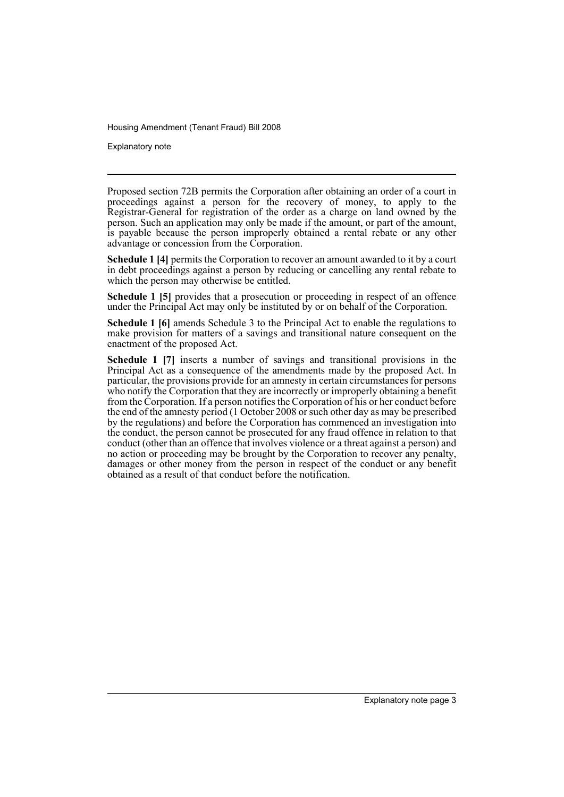Explanatory note

Proposed section 72B permits the Corporation after obtaining an order of a court in proceedings against a person for the recovery of money, to apply to the Registrar-General for registration of the order as a charge on land owned by the person. Such an application may only be made if the amount, or part of the amount, is payable because the person improperly obtained a rental rebate or any other advantage or concession from the Corporation.

**Schedule 1 [4]** permits the Corporation to recover an amount awarded to it by a court in debt proceedings against a person by reducing or cancelling any rental rebate to which the person may otherwise be entitled.

**Schedule 1 [5]** provides that a prosecution or proceeding in respect of an offence under the Principal Act may only be instituted by or on behalf of the Corporation.

**Schedule 1 [6]** amends Schedule 3 to the Principal Act to enable the regulations to make provision for matters of a savings and transitional nature consequent on the enactment of the proposed Act.

**Schedule 1 [7]** inserts a number of savings and transitional provisions in the Principal Act as a consequence of the amendments made by the proposed Act. In particular, the provisions provide for an amnesty in certain circumstances for persons who notify the Corporation that they are incorrectly or improperly obtaining a benefit from the Corporation. If a person notifies the Corporation of his or her conduct before the end of the amnesty period (1 October 2008 or such other day as may be prescribed by the regulations) and before the Corporation has commenced an investigation into the conduct, the person cannot be prosecuted for any fraud offence in relation to that conduct (other than an offence that involves violence or a threat against a person) and no action or proceeding may be brought by the Corporation to recover any penalty, damages or other money from the person in respect of the conduct or any benefit obtained as a result of that conduct before the notification.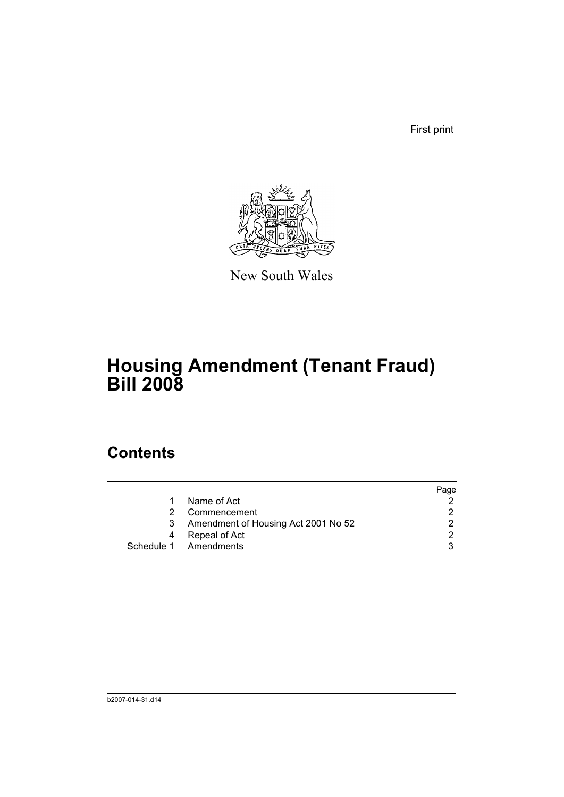First print



New South Wales

# **Housing Amendment (Tenant Fraud) Bill 2008**

## **Contents**

|    |                                     | Page |
|----|-------------------------------------|------|
| 1. | Name of Act                         |      |
|    | 2 Commencement                      |      |
| 3  | Amendment of Housing Act 2001 No 52 |      |
| 4  | Repeal of Act                       | ົ    |
|    | Schedule 1 Amendments               |      |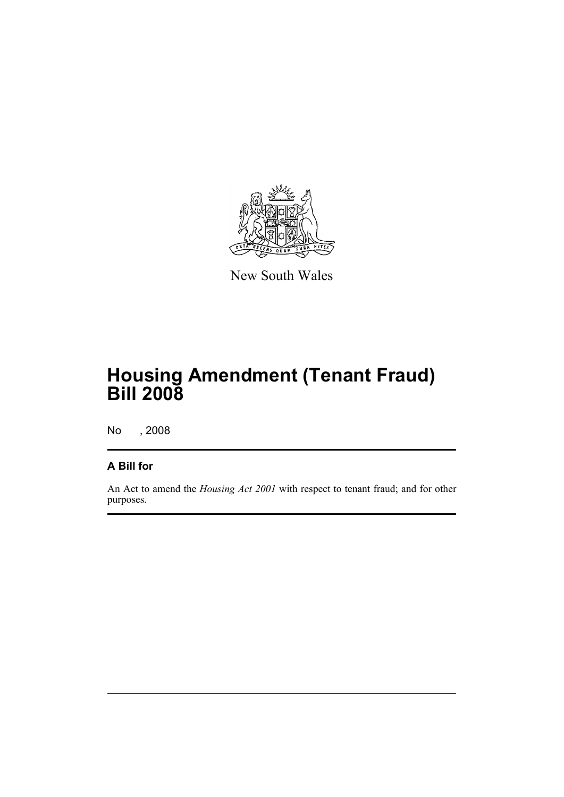

New South Wales

# **Housing Amendment (Tenant Fraud) Bill 2008**

No , 2008

### **A Bill for**

An Act to amend the *Housing Act 2001* with respect to tenant fraud; and for other purposes.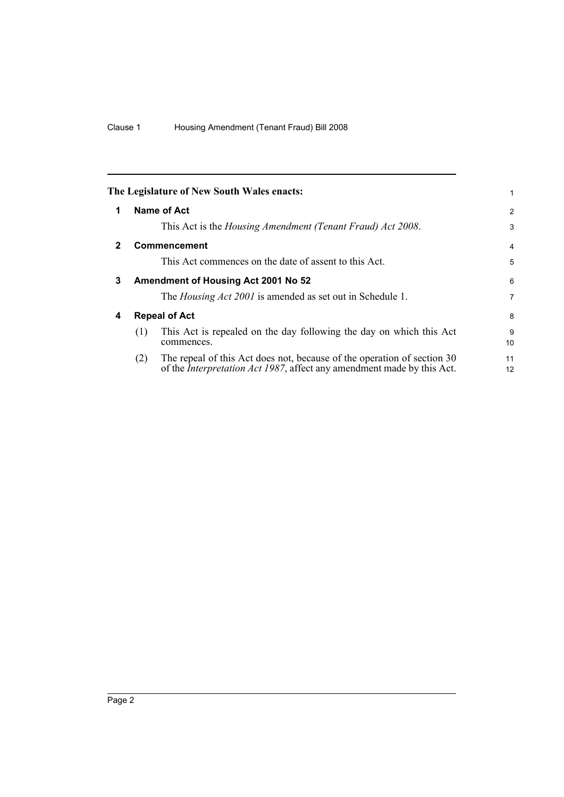<span id="page-7-3"></span><span id="page-7-2"></span><span id="page-7-1"></span><span id="page-7-0"></span>

|              |                      | The Legislature of New South Wales enacts:                                                                                                                | 1              |
|--------------|----------------------|-----------------------------------------------------------------------------------------------------------------------------------------------------------|----------------|
| 1            |                      | Name of Act                                                                                                                                               | $\overline{2}$ |
|              |                      | This Act is the Housing Amendment (Tenant Fraud) Act 2008.                                                                                                | 3              |
| $\mathbf{2}$ |                      | <b>Commencement</b>                                                                                                                                       | $\overline{4}$ |
|              |                      | This Act commences on the date of assent to this Act.                                                                                                     | 5              |
| 3            |                      | Amendment of Housing Act 2001 No 52                                                                                                                       | 6              |
|              |                      | The <i>Housing Act 2001</i> is amended as set out in Schedule 1.                                                                                          | 7              |
| 4            | <b>Repeal of Act</b> |                                                                                                                                                           |                |
|              | (1)                  | This Act is repealed on the day following the day on which this Act<br>commences.                                                                         | 9<br>10        |
|              | (2)                  | The repeal of this Act does not, because of the operation of section 30<br>of the <i>Interpretation Act 1987</i> , affect any amendment made by this Act. | 11<br>12       |
|              |                      |                                                                                                                                                           |                |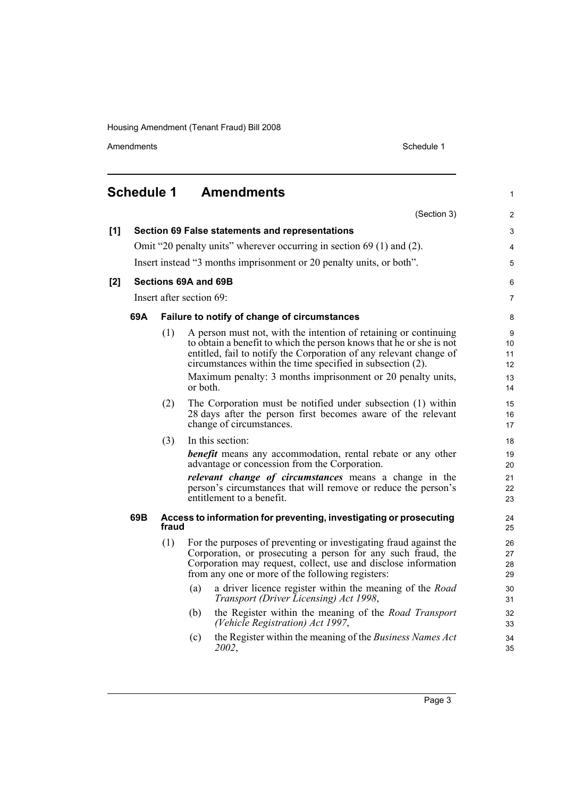Amendments Schedule 1

<span id="page-8-0"></span>

|     | Schedule 1               |                                              |          | <b>Amendments</b>                                                                                                                                                                                                                                                                                                                          | $\mathbf{1}$                    |
|-----|--------------------------|----------------------------------------------|----------|--------------------------------------------------------------------------------------------------------------------------------------------------------------------------------------------------------------------------------------------------------------------------------------------------------------------------------------------|---------------------------------|
|     |                          |                                              |          | (Section 3)                                                                                                                                                                                                                                                                                                                                | 2                               |
| [1] |                          |                                              |          | Section 69 False statements and representations                                                                                                                                                                                                                                                                                            | 3                               |
|     |                          |                                              |          | Omit "20 penalty units" wherever occurring in section 69 (1) and (2).                                                                                                                                                                                                                                                                      | 4                               |
|     |                          |                                              |          | Insert instead "3 months imprisonment or 20 penalty units, or both".                                                                                                                                                                                                                                                                       | 5                               |
| [2] | Sections 69A and 69B     |                                              |          |                                                                                                                                                                                                                                                                                                                                            | 6                               |
|     | Insert after section 69: |                                              |          |                                                                                                                                                                                                                                                                                                                                            | $\overline{7}$                  |
|     | 69A                      | Failure to notify of change of circumstances |          |                                                                                                                                                                                                                                                                                                                                            | 8                               |
|     |                          | (1)                                          | or both. | A person must not, with the intention of retaining or continuing<br>to obtain a benefit to which the person knows that he or she is not<br>entitled, fail to notify the Corporation of any relevant change of<br>circumstances within the time specified in subsection (2).<br>Maximum penalty: 3 months imprisonment or 20 penalty units, | 9<br>10<br>11<br>12<br>13<br>14 |
|     |                          | (2)                                          |          | The Corporation must be notified under subsection (1) within<br>28 days after the person first becomes aware of the relevant<br>change of circumstances.                                                                                                                                                                                   | 15<br>16<br>17                  |
|     |                          | (3)                                          |          | In this section:                                                                                                                                                                                                                                                                                                                           | 18                              |
|     |                          |                                              |          | <b>benefit</b> means any accommodation, rental rebate or any other<br>advantage or concession from the Corporation.                                                                                                                                                                                                                        | 19<br>20                        |
|     |                          |                                              |          | relevant change of circumstances means a change in the<br>person's circumstances that will remove or reduce the person's<br>entitlement to a benefit.                                                                                                                                                                                      | 21<br>22<br>23                  |
|     | 69B                      | fraud                                        |          | Access to information for preventing, investigating or prosecuting                                                                                                                                                                                                                                                                         | 24<br>25                        |
|     |                          | (1)                                          |          | For the purposes of preventing or investigating fraud against the<br>Corporation, or prosecuting a person for any such fraud, the<br>Corporation may request, collect, use and disclose information<br>from any one or more of the following registers:                                                                                    | 26<br>27<br>28<br>29            |
|     |                          |                                              | (a)      | a driver licence register within the meaning of the Road<br>Transport (Driver Licensing) Act 1998,                                                                                                                                                                                                                                         | 30<br>31                        |
|     |                          |                                              | (b)      | the Register within the meaning of the Road Transport<br>(Vehicle Registration) Act 1997,                                                                                                                                                                                                                                                  | 32<br>33                        |
|     |                          |                                              | (c)      | the Register within the meaning of the Business Names Act<br>2002,                                                                                                                                                                                                                                                                         | 34<br>35                        |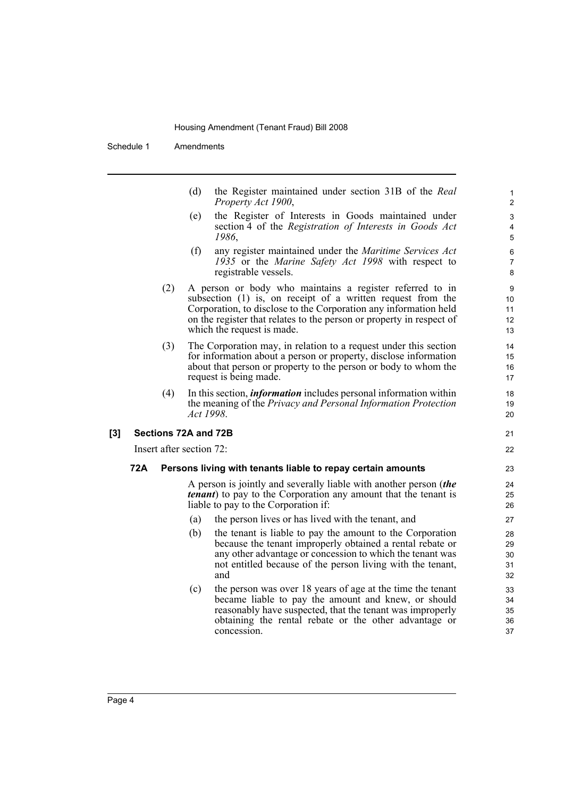Schedule 1 Amendments

(d) the Register maintained under section 31B of the *Real Property Act 1900*,

21 22

- (e) the Register of Interests in Goods maintained under section 4 of the *Registration of Interests in Goods Act 1986*,
- (f) any register maintained under the *Maritime Services Act 1935* or the *Marine Safety Act 1998* with respect to registrable vessels.
- (2) A person or body who maintains a register referred to in subsection (1) is, on receipt of a written request from the Corporation, to disclose to the Corporation any information held on the register that relates to the person or property in respect of which the request is made.
- (3) The Corporation may, in relation to a request under this section for information about a person or property, disclose information about that person or property to the person or body to whom the request is being made.
- (4) In this section, *information* includes personal information within the meaning of the *Privacy and Personal Information Protection Act 1998*.

#### **[3] Sections 72A and 72B**

Insert after section 72:

#### **72A Persons living with tenants liable to repay certain amounts**

A person is jointly and severally liable with another person (*the tenant*) to pay to the Corporation any amount that the tenant is liable to pay to the Corporation if:

- (a) the person lives or has lived with the tenant, and
- (b) the tenant is liable to pay the amount to the Corporation because the tenant improperly obtained a rental rebate or any other advantage or concession to which the tenant was not entitled because of the person living with the tenant, and
- (c) the person was over 18 years of age at the time the tenant became liable to pay the amount and knew, or should reasonably have suspected, that the tenant was improperly obtaining the rental rebate or the other advantage or concession.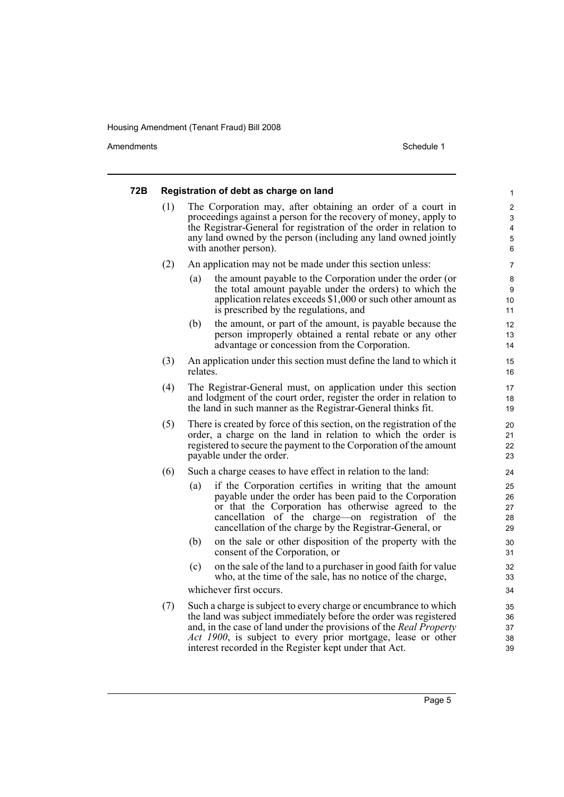Amendments Schedule 1

| 72B |     | Registration of debt as charge on land                                                                                                                                                                                                                                                                                               | 1                                           |
|-----|-----|--------------------------------------------------------------------------------------------------------------------------------------------------------------------------------------------------------------------------------------------------------------------------------------------------------------------------------------|---------------------------------------------|
|     | (1) | The Corporation may, after obtaining an order of a court in<br>proceedings against a person for the recovery of money, apply to<br>the Registrar-General for registration of the order in relation to<br>any land owned by the person (including any land owned jointly<br>with another person).                                     | $\overline{\mathbf{c}}$<br>3<br>4<br>5<br>6 |
|     | (2) | An application may not be made under this section unless:                                                                                                                                                                                                                                                                            | 7                                           |
|     |     | the amount payable to the Corporation under the order (or<br>(a)<br>the total amount payable under the orders) to which the<br>application relates exceeds \$1,000 or such other amount as<br>is prescribed by the regulations, and                                                                                                  | 8<br>9<br>10<br>11                          |
|     |     | (b)<br>the amount, or part of the amount, is payable because the<br>person improperly obtained a rental rebate or any other<br>advantage or concession from the Corporation.                                                                                                                                                         | 12<br>13<br>14                              |
|     | (3) | An application under this section must define the land to which it<br>relates.                                                                                                                                                                                                                                                       | 15<br>16                                    |
|     | (4) | The Registrar-General must, on application under this section<br>and lodgment of the court order, register the order in relation to<br>the land in such manner as the Registrar-General thinks fit.                                                                                                                                  | 17<br>18<br>19                              |
|     | (5) | There is created by force of this section, on the registration of the<br>order, a charge on the land in relation to which the order is<br>registered to secure the payment to the Corporation of the amount<br>payable under the order.                                                                                              | 20<br>21<br>22<br>23                        |
|     | (6) | Such a charge ceases to have effect in relation to the land:                                                                                                                                                                                                                                                                         | 24                                          |
|     |     | (a)<br>if the Corporation certifies in writing that the amount<br>payable under the order has been paid to the Corporation<br>or that the Corporation has otherwise agreed to the<br>cancellation of the charge on registration of the<br>cancellation of the charge by the Registrar-General, or                                    | 25<br>26<br>27<br>28<br>29                  |
|     |     | (b)<br>on the sale or other disposition of the property with the<br>consent of the Corporation, or                                                                                                                                                                                                                                   | 30<br>31                                    |
|     |     | on the sale of the land to a purchaser in good faith for value<br>(c)<br>who, at the time of the sale, has no notice of the charge,                                                                                                                                                                                                  | 32<br>33                                    |
|     |     | whichever first occurs.                                                                                                                                                                                                                                                                                                              | 34                                          |
|     | (7) | Such a charge is subject to every charge or encumbrance to which<br>the land was subject immediately before the order was registered<br>and, in the case of land under the provisions of the Real Property<br>Act 1900, is subject to every prior mortgage, lease or other<br>interest recorded in the Register kept under that Act. | 35<br>36<br>37<br>38<br>39                  |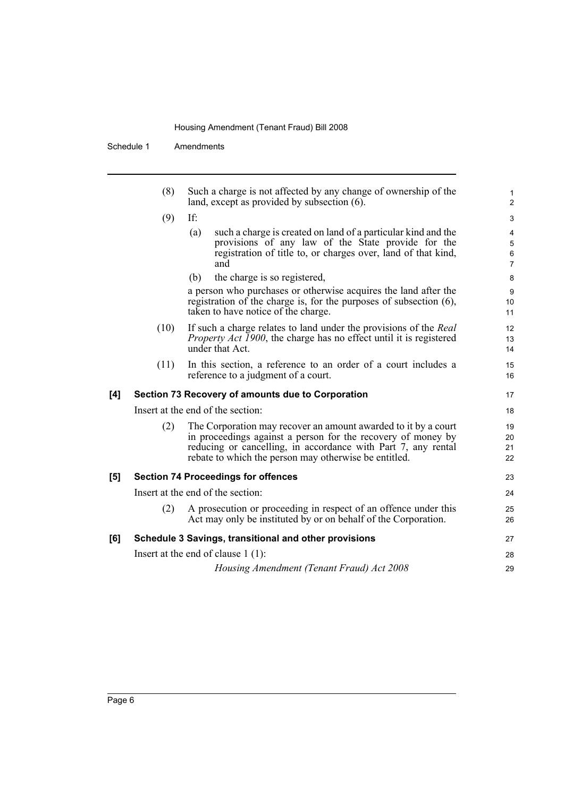Schedule 1 Amendments

|     | (8)                               | Such a charge is not affected by any change of ownership of the<br>land, except as provided by subsection (6).                                                                                                                                           | $\mathbf 1$<br>$\overline{2}$ |
|-----|-----------------------------------|----------------------------------------------------------------------------------------------------------------------------------------------------------------------------------------------------------------------------------------------------------|-------------------------------|
|     | (9)                               | If:                                                                                                                                                                                                                                                      | 3                             |
|     |                                   | such a charge is created on land of a particular kind and the<br>(a)<br>provisions of any law of the State provide for the<br>registration of title to, or charges over, land of that kind,<br>and                                                       | 4<br>5<br>6<br>$\overline{7}$ |
|     |                                   | the charge is so registered,<br>(b)                                                                                                                                                                                                                      | 8                             |
|     |                                   | a person who purchases or otherwise acquires the land after the<br>registration of the charge is, for the purposes of subsection (6),<br>taken to have notice of the charge.                                                                             | 9<br>10<br>11                 |
|     | (10)                              | If such a charge relates to land under the provisions of the Real<br><i>Property Act 1900</i> , the charge has no effect until it is registered<br>under that Act.                                                                                       | 12<br>13<br>14                |
|     | (11)                              | In this section, a reference to an order of a court includes a<br>reference to a judgment of a court.                                                                                                                                                    | 15<br>16                      |
| [4] |                                   | Section 73 Recovery of amounts due to Corporation                                                                                                                                                                                                        | 17                            |
|     | Insert at the end of the section: |                                                                                                                                                                                                                                                          |                               |
|     | (2)                               | The Corporation may recover an amount awarded to it by a court<br>in proceedings against a person for the recovery of money by<br>reducing or cancelling, in accordance with Part 7, any rental<br>rebate to which the person may otherwise be entitled. | 19<br>20<br>21<br>22          |
| [5] |                                   | <b>Section 74 Proceedings for offences</b>                                                                                                                                                                                                               | 23                            |
|     | Insert at the end of the section: |                                                                                                                                                                                                                                                          |                               |
|     | (2)                               | A prosecution or proceeding in respect of an offence under this<br>Act may only be instituted by or on behalf of the Corporation.                                                                                                                        | 25<br>26                      |
| [6] |                                   | Schedule 3 Savings, transitional and other provisions                                                                                                                                                                                                    | 27                            |
|     |                                   | Insert at the end of clause $1(1)$ :                                                                                                                                                                                                                     | 28                            |
|     |                                   | Housing Amendment (Tenant Fraud) Act 2008                                                                                                                                                                                                                | 29                            |
|     |                                   |                                                                                                                                                                                                                                                          |                               |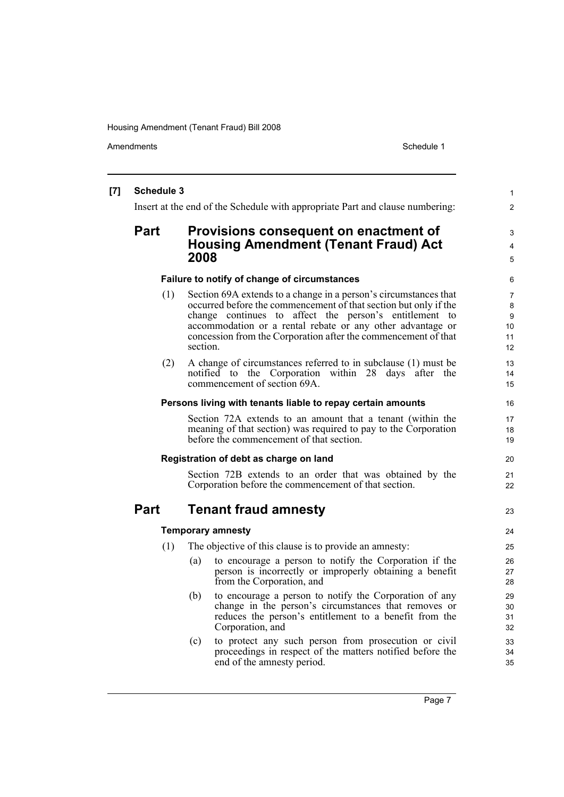Amendments Schedule 1

| $\left[ 7 \right]$ | <b>Schedule 3</b><br>Insert at the end of the Schedule with appropriate Part and clause numbering: |                                                                                                                                                                                                                                                                                                                                            |                                                                      |  |
|--------------------|----------------------------------------------------------------------------------------------------|--------------------------------------------------------------------------------------------------------------------------------------------------------------------------------------------------------------------------------------------------------------------------------------------------------------------------------------------|----------------------------------------------------------------------|--|
|                    | <b>Part</b>                                                                                        | Provisions consequent on enactment of<br><b>Housing Amendment (Tenant Fraud) Act</b>                                                                                                                                                                                                                                                       |                                                                      |  |
|                    |                                                                                                    | 2008                                                                                                                                                                                                                                                                                                                                       | 5                                                                    |  |
|                    |                                                                                                    | Failure to notify of change of circumstances                                                                                                                                                                                                                                                                                               |                                                                      |  |
|                    | (1)                                                                                                | Section 69A extends to a change in a person's circumstances that<br>occurred before the commencement of that section but only if the<br>change continues to affect the person's entitlement to<br>accommodation or a rental rebate or any other advantage or<br>concession from the Corporation after the commencement of that<br>section. | $\overline{7}$<br>8<br>9<br>10 <sup>1</sup><br>11<br>12 <sup>2</sup> |  |
|                    | (2)                                                                                                | A change of circumstances referred to in subclause (1) must be<br>notified to the Corporation within 28 days after the<br>commencement of section 69A.                                                                                                                                                                                     | 13<br>14<br>15                                                       |  |
|                    |                                                                                                    | Persons living with tenants liable to repay certain amounts                                                                                                                                                                                                                                                                                | 16                                                                   |  |
|                    |                                                                                                    | Section 72A extends to an amount that a tenant (within the<br>meaning of that section) was required to pay to the Corporation<br>before the commencement of that section.<br>Registration of debt as charge on land                                                                                                                        |                                                                      |  |
|                    |                                                                                                    |                                                                                                                                                                                                                                                                                                                                            |                                                                      |  |
|                    |                                                                                                    | Section 72B extends to an order that was obtained by the<br>Corporation before the commencement of that section.                                                                                                                                                                                                                           | 21<br>22                                                             |  |
|                    | <b>Part</b>                                                                                        | <b>Tenant fraud amnesty</b>                                                                                                                                                                                                                                                                                                                | 23                                                                   |  |
|                    |                                                                                                    | <b>Temporary amnesty</b>                                                                                                                                                                                                                                                                                                                   | 24                                                                   |  |
|                    | (1)                                                                                                | The objective of this clause is to provide an amnesty:                                                                                                                                                                                                                                                                                     | 25                                                                   |  |
|                    |                                                                                                    | to encourage a person to notify the Corporation if the<br>(a)<br>person is incorrectly or improperly obtaining a benefit<br>from the Corporation, and                                                                                                                                                                                      | 26<br>27<br>28                                                       |  |
|                    |                                                                                                    | to encourage a person to notify the Corporation of any<br>(b)<br>change in the person's circumstances that removes or<br>reduces the person's entitlement to a benefit from the<br>Corporation, and                                                                                                                                        | 29<br>30<br>31<br>32                                                 |  |
|                    |                                                                                                    | to protect any such person from prosecution or civil<br>(c)<br>proceedings in respect of the matters notified before the<br>end of the amnesty period.                                                                                                                                                                                     | 33<br>34<br>35                                                       |  |
|                    |                                                                                                    |                                                                                                                                                                                                                                                                                                                                            |                                                                      |  |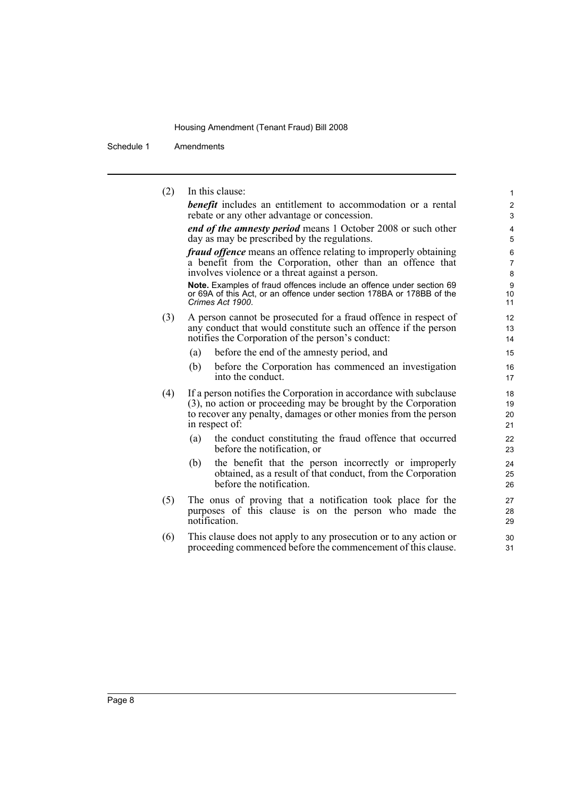Schedule 1 Amendments

| (2) | In this clause:                                                                                                                                                   | 1                            |  |  |  |
|-----|-------------------------------------------------------------------------------------------------------------------------------------------------------------------|------------------------------|--|--|--|
|     | <b>benefit</b> includes an entitlement to accommodation or a rental<br>rebate or any other advantage or concession.                                               | $\overline{2}$<br>3          |  |  |  |
|     | end of the amnesty period means 1 October 2008 or such other                                                                                                      | 4                            |  |  |  |
|     | day as may be prescribed by the regulations.                                                                                                                      | 5                            |  |  |  |
|     | <i>fraud offence</i> means an offence relating to improperly obtaining                                                                                            | 6                            |  |  |  |
|     | a benefit from the Corporation, other than an offence that<br>involves violence or a threat against a person.                                                     | $\overline{7}$<br>8          |  |  |  |
|     | Note. Examples of fraud offences include an offence under section 69<br>or 69A of this Act, or an offence under section 178BA or 178BB of the<br>Crimes Act 1900. | $\boldsymbol{9}$<br>10<br>11 |  |  |  |
| (3) | A person cannot be prosecuted for a fraud offence in respect of                                                                                                   | 12                           |  |  |  |
|     | any conduct that would constitute such an offence if the person<br>notifies the Corporation of the person's conduct:                                              | 13                           |  |  |  |
|     | before the end of the amnesty period, and<br>(a)                                                                                                                  | 14                           |  |  |  |
|     |                                                                                                                                                                   | 15                           |  |  |  |
|     | before the Corporation has commenced an investigation<br>(b)<br>into the conduct.                                                                                 | 16<br>17                     |  |  |  |
| (4) | If a person notifies the Corporation in accordance with subclause                                                                                                 |                              |  |  |  |
|     | $(3)$ , no action or proceeding may be brought by the Corporation<br>to recover any penalty, damages or other monies from the person                              |                              |  |  |  |
|     | in respect of:                                                                                                                                                    |                              |  |  |  |
|     | the conduct constituting the fraud offence that occurred<br>(a)<br>before the notification, or                                                                    | 22<br>23                     |  |  |  |
|     | the benefit that the person incorrectly or improperly<br>(b)<br>obtained, as a result of that conduct, from the Corporation<br>before the notification.           | 24<br>25<br>26               |  |  |  |
|     |                                                                                                                                                                   |                              |  |  |  |
| (5) | The onus of proving that a notification took place for the<br>purposes of this clause is on the person who made the                                               | 27<br>28                     |  |  |  |
|     | notification.                                                                                                                                                     | 29                           |  |  |  |
| (6) | This clause does not apply to any prosecution or to any action or                                                                                                 | 30                           |  |  |  |
|     | proceeding commenced before the commencement of this clause.                                                                                                      | 31                           |  |  |  |